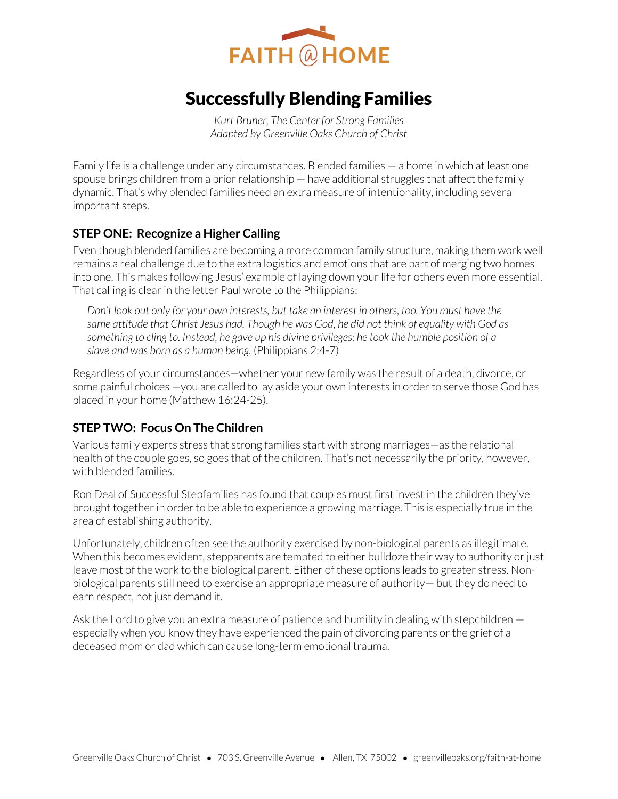

# Successfully Blending Families

*Kurt Bruner, The Center for Strong Families Adapted by Greenville Oaks Church of Christ* 

Family life is a challenge under any circumstances. Blended families — a home in which at least one spouse brings children from a prior relationship — have additional struggles that affect the family dynamic. That's why blended families need an extra measure of intentionality, including several important steps.

# **STEP ONE: Recognize a Higher Calling**

Even though blended families are becoming a more common family structure, making them work well remains a real challenge due to the extra logistics and emotions that are part of merging two homes into one. This makes following Jesus' example of laying down your life for others even more essential. That calling is clear in the letter Paul wrote to the Philippians:

*Don't look out only for your own interests, but take an interest in others, too. You must have the same attitude that Christ Jesus had. Though he was God, he did not think of equality with God as something to cling to. Instead, he gave up his divine privileges; he took the humble position of a slave and was born as a human being.* (Philippians 2:4-7)

Regardless of your circumstances—whether your new family was the result of a death, divorce, or some painful choices —you are called to lay aside your own interests in order to serve those God has placed in your home (Matthew 16:24-25).

# **STEP TWO: Focus On The Children**

Various family experts stress that strong families start with strong marriages—as the relational health of the couple goes, so goes that of the children. That's not necessarily the priority, however, with blended families.

Ron Deal of Successful Stepfamilies has found that couples must first invest in the children they've brought together in order to be able to experience a growing marriage. This is especially true in the area of establishing authority.

Unfortunately, children often see the authority exercised by non-biological parents as illegitimate. When this becomes evident, stepparents are tempted to either bulldoze their way to authority or just leave most of the work to the biological parent. Either of these options leads to greater stress. Nonbiological parents still need to exercise an appropriate measure of authority— but they do need to earn respect, not just demand it.

Ask the Lord to give you an extra measure of patience and humility in dealing with stepchildren especially when you know they have experienced the pain of divorcing parents or the grief of a deceased mom or dad which can cause long-term emotional trauma.